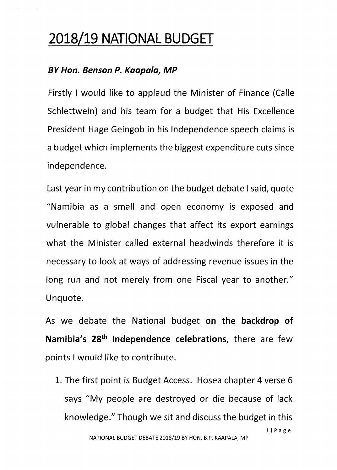## **2018/19 NATIONAL BUDGET**

## *BY Hon. Benson P. Kaapala, MP*

Firstly I would like to applaud the Minister of Finance (Calle Schlettwein) and his team for a budget that His Excellence President Hage Geingob in his Independence speech claims is a budget which implements the biggest expenditure cuts since independence.

Last year in my contribution on the budget debate I said, quote "Namibia as a small and open economy is exposed and vulnerable to global changes that affect its export earnings what the Minister called external headwinds therefore it is necessary to look at ways of addressing revenue issues in the long run and not merely from one Fiscal year to another." Unquote.

As we debate the National budget **on the backdrop of Namibia's 28th Independence celebrations,** there are few points I would like to contribute.

1. The first point is Budget Access. Hosea chapter 4 verse 6 says "My people are destroyed or die because of lack knowledge." Though we sit and discuss the budget in this l/Page NATIONAL BUDGET DEBATE 2018/19 BY HON. B.P. KAAPALA, MP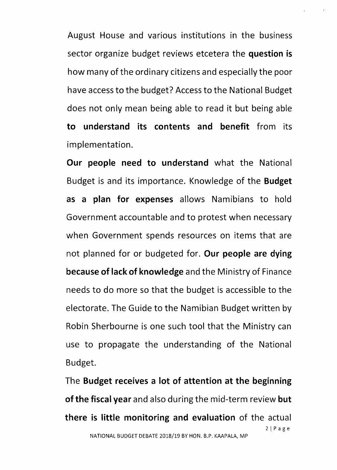August House and various institutions in the business sector organize budget reviews etcetera the **question is** how many of the ordinary citizens and especially the poor have access to the budget? Access to the National Budget does not only mean being able to read it but being able **to understand its contents and benefit** from its implementation.

**Our people need to understand** what the National Budget is and its importance. Knowledge of the **Budget as a plan for expenses** allows Namibians to hold Government accountable and to protest when necessary when Government spends resources on items that are not planned for or budgeted for. **Our people are dying because of lack of knowledge** and the Ministry of Finance needs to do more so that the budget is accessible to the electorate. The Guide to the Namibian Budget written by Robin Sherbourne is one such tool that the Ministry can use to propagate the understanding of the National Budget.

The **Budget receives a lot of attention at the beginning of the fiscal year** and also during the mid-term review **but there is little monitoring and evaluation** of the actual 21Page NATIONAL BUDGET DEBATE 2018/19 BY HON. B.P. KAAPALA, MP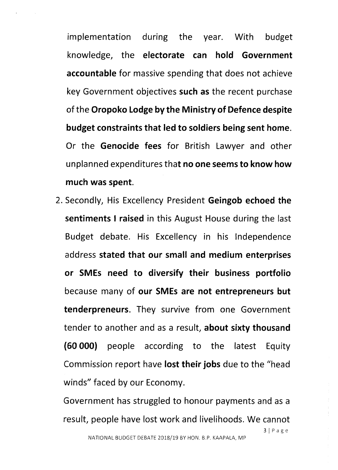implementation during the year. With budget knowledge, the **electorate can hold Government accountable** for massive spending that does not achieve key Government objectives **such as** the recent purchase of the **Oropoko Lodgeby the Ministry of Defence despite budget constraints that led to soldiers being sent home.** Or the **Genocide fees** for British Lawyer and other unplanned expenditures that **no one seems to know how much was spent.**

2. Secondly, His Excellency President **Geingob echoed the sentiments I raised** in this August House during the last Budget debate. His Excellency in his Independence address **stated that our small and medium enterprises or SMEs need to diversify their business portfolio** because many of **our SMEs are not entrepreneurs but tenderpreneurs.** They survive from one Government tender to another and as a result, **about sixty thousand (60 000)** people according to the latest Equity Commission report have **lost their jobs** due to the "head winds" faced by our Economy.

Government has struggled to honour payments and as a result, people have lost work and livelihoods. We cannot 3/Page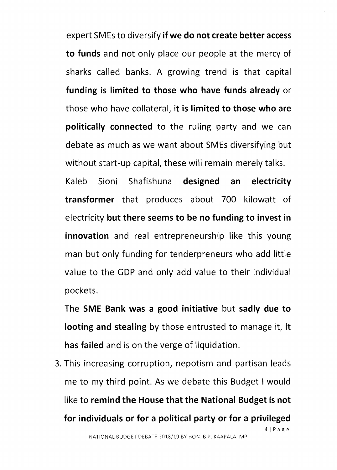expert SMEs to diversify if we do not create better access to funds and not only place our people at the mercy of sharks called banks. A growing trend is that capital funding is limited to those who have funds already or those who have collateral, it is limited to those who are politically connected to the ruling party and we can debate as much as we want about SMEs diversifying but without start-up capital, these will remain merely talks.

Kaleb Sioni Shafishuna designed an electricity transformer that produces about 700 kilowatt of electricity but there seems to be no funding to invest in innovation and real entrepreneurship like this young man but only funding for tenderpreneurs who add little value to the GDP and only add value to their individual pockets.

The SME Bank was a good initiative but sadly due to looting and stealing by those entrusted to manage it, it has failed and is on the verge of liquidation.

3. This increasing corruption, nepotism and partisan leads me to my third point. As we debate this Budget I would like to remind the House that the National Budget is not for individuals or for a political party or for a privileged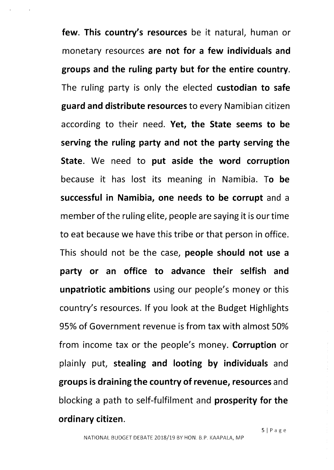few. This country's resources be it natural, human or monetary resources are not for a few individuals and groups and the ruling party but for the entire country. The ruling party is only the elected custodian to safe guard and distribute resources to every Namibian citizen according to their need. Yet, the State seems to be serving the ruling party and not the party serving the State. We need to put aside the word corruption because it has lost its meaning in Namibia. To be successful in Namibia, one needs to be corrupt and a member of the ruling elite, people are saying it is our time to eat because we have this tribe or that person in office. This should not be the case, people should not use a party or an office to advance their selfish and unpatriotic ambitions using our people's money or this country's resources. If you look at the Budget Highlights 95% of Government revenue is from tax with almost 50% from income tax or the people's money. Corruption or plainly put, stealing and looting by individuals and groups is draining the country of revenue, resources and blocking a path to self-fulfilment and prosperity for the ordinary citizen.

SIPage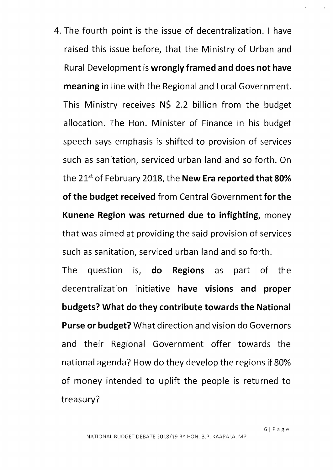4. The fourth point is the issue of decentralization. I have raised this issue before, that the Ministry of Urban and Rural Development is **wrongly framed and does not have meaning** in line with the Regional and Local Government. This Ministry receives N\$ 2.2 billion from the budget allocation. The Hon. Minister of Finance in his budget speech says emphasis is shifted to provision of services such as sanitation, serviced urban land and so forth. On the 21st of February 2018, the **New Era reported that 80% of the budget received** from Central Government **for the Kunene Region was returned due to infighting,** money that was aimed at providing the said provision of services such as sanitation, serviced urban land and so forth.

The question is, **do Regions** as part of the decentralization initiative **have visions and proper budgets? What do they contribute towards the National Purse or budget?** What direction and vision do Governors and their Regional Government offer towards the national agenda? How do they develop the regions if 80% of money intended to uplift the people is returned to treasury?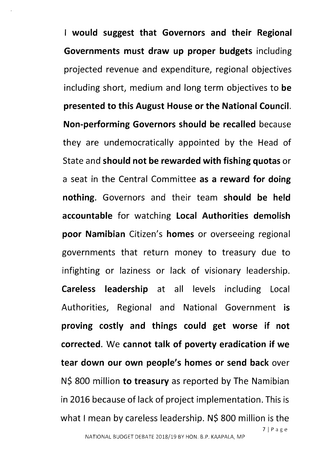**I would suggest that Governors and their Regional Governments must draw up proper budgets** including projected revenue and expenditure, regional objectives including short, medium and long term objectives to **be presented to this August House or the National Council. Non-performing Governors should be recalled** because they are undemocratically appointed by the Head of State and **should not be rewarded with fishing quotas** or a seat in the Central Committee **as a reward for doing nothing.** Governors and their team **should be held accountable** for watching **Local Authorities demolish poor Namibian** Citizen's **homes** or overseeing regional governments that return money to treasury due to infighting or laziness or lack of visionary leadership. **Careless leadership** at all levels including Local Authorities, Regional and National Government **is proving costly and things could get worse if not corrected. We cannot talk of poverty eradication if we tear down our own people's homes or send back** over N\$ 800 million **to treasury** as reported by The Namibian in 2016 because of lack of project implementation. This is what I mean by careless leadership. N\$ 800 million is the 7jPage NATIONAL BUDGET DEBATE 2018/19 BY HON. B.P. KAAPALA, MP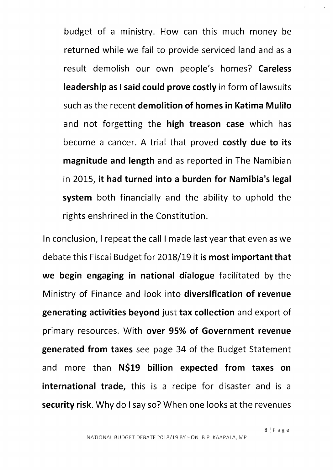budget of a ministry. How can this much money be returned while we fail to provide serviced land and as a result demolish our own people's homes? Careless leadership as I said could prove costly in form of lawsuits such as the recent demolition of homes in Katima Mulilo and not forgetting the high treason case which has become a cancer. A trial that proved costly due to its magnitude and length and as reported in The Namibian in 2015, it had turned into a burden for Namibia's legal system both financially and the ability to uphold the rights enshrined in the Constitution.

In conclusion, I repeat the call I made last year that even as we debate this Fiscal Budget for 2018/19 it is most important that we begin engaging in national dialogue facilitated by the Ministry of Finance and look into diversification of revenue generating activities beyond just tax collection and export of primary resources. With over 95% of Government revenue generated from taxes see page 34 of the Budget Statement and more than N\$19 billion expected from taxes on international trade, this is a recipe for disaster and is a security risk. Why do I say so? When one looks at the revenues